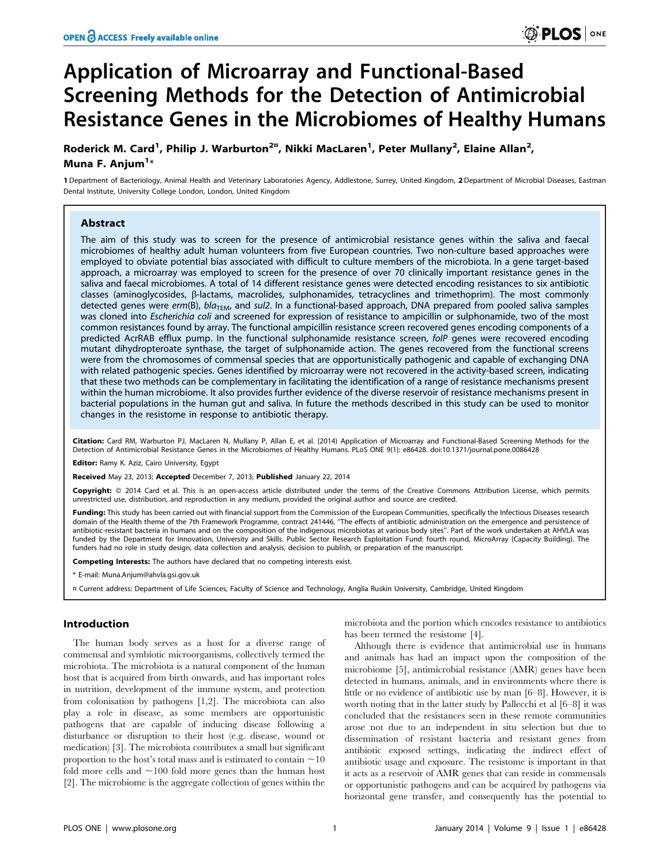# Application of Microarray and Functional-Based Screening Methods for the Detection of Antimicrobial Resistance Genes in the Microbiomes of Healthy Humans

Roderick M. Card<sup>1</sup>, Philip J. Warburton<sup>2¤</sup>, Nikki MacLaren<sup>1</sup>, Peter Mullany<sup>2</sup>, Elaine Allan<sup>2</sup>, Muna F. Anjum<sup>1</sup>\*

1 Department of Bacteriology, Animal Health and Veterinary Laboratories Agency, Addlestone, Surrey, United Kingdom, 2 Department of Microbial Diseases, Eastman Dental Institute, University College London, London, United Kingdom

# Abstract

The aim of this study was to screen for the presence of antimicrobial resistance genes within the saliva and faecal microbiomes of healthy adult human volunteers from five European countries. Two non-culture based approaches were employed to obviate potential bias associated with difficult to culture members of the microbiota. In a gene target-based approach, a microarray was employed to screen for the presence of over 70 clinically important resistance genes in the saliva and faecal microbiomes. A total of 14 different resistance genes were detected encoding resistances to six antibiotic classes (aminoglycosides, b-lactams, macrolides, sulphonamides, tetracyclines and trimethoprim). The most commonly detected genes were  $erm(B)$ ,  $bla<sub>TEM</sub>$ , and sul2. In a functional-based approach, DNA prepared from pooled saliva samples was cloned into Escherichia coli and screened for expression of resistance to ampicillin or sulphonamide, two of the most common resistances found by array. The functional ampicillin resistance screen recovered genes encoding components of a predicted AcrRAB efflux pump. In the functional sulphonamide resistance screen, folP genes were recovered encoding mutant dihydropteroate synthase, the target of sulphonamide action. The genes recovered from the functional screens were from the chromosomes of commensal species that are opportunistically pathogenic and capable of exchanging DNA with related pathogenic species. Genes identified by microarray were not recovered in the activity-based screen, indicating that these two methods can be complementary in facilitating the identification of a range of resistance mechanisms present within the human microbiome. It also provides further evidence of the diverse reservoir of resistance mechanisms present in bacterial populations in the human gut and saliva. In future the methods described in this study can be used to monitor changes in the resistome in response to antibiotic therapy.

Citation: Card RM, Warburton PJ, MacLaren N, Mullany P, Allan E, et al. (2014) Application of Microarray and Functional-Based Screening Methods for the Detection of Antimicrobial Resistance Genes in the Microbiomes of Healthy Humans. PLoS ONE 9(1): e86428. doi:10.1371/journal.pone.0086428

Editor: Ramy K. Aziz, Cairo University, Egypt

Received May 23, 2013; Accepted December 7, 2013; Published January 22, 2014

Copyright: © 2014 Card et al. This is an open-access article distributed under the terms of the Creative Commons Attribution License, which permits unrestricted use, distribution, and reproduction in any medium, provided the original author and source are credited.

Funding: This study has been carried out with financial support from the Commission of the European Communities, specifically the Infectious Diseases research domain of the Health theme of the 7th Framework Programme, contract 241446, ''The effects of antibiotic administration on the emergence and persistence of antibiotic-resistant bacteria in humans and on the composition of the indigenous microbiotas at various body sites''. Part of the work undertaken at AHVLA was funded by the Department for Innovation, University and Skills. Public Sector Research Exploitation Fund: fourth round, MicroArray (Capacity Building). The funders had no role in study design, data collection and analysis, decision to publish, or preparation of the manuscript.

Competing Interests: The authors have declared that no competing interests exist.

\* E-mail: Muna.Anjum@ahvla.gsi.gov.uk

¤ Current address: Department of Life Sciences, Faculty of Science and Technology, Anglia Ruskin University, Cambridge, United Kingdom

# Introduction

The human body serves as a host for a diverse range of commensal and symbiotic microorganisms, collectively termed the microbiota. The microbiota is a natural component of the human host that is acquired from birth onwards, and has important roles in nutrition, development of the immune system, and protection from colonisation by pathogens [1,2]. The microbiota can also play a role in disease, as some members are opportunistic pathogens that are capable of inducing disease following a disturbance or disruption to their host (e.g. disease, wound or medication) [3]. The microbiota contributes a small but significant proportion to the host's total mass and is estimated to contain  $\sim$ 10 fold more cells and  $\sim\!100$  fold more genes than the human host [2]. The microbiome is the aggregate collection of genes within the

microbiota and the portion which encodes resistance to antibiotics has been termed the resistome [4].

Although there is evidence that antimicrobial use in humans and animals has had an impact upon the composition of the microbiome [5], antimicrobial resistance (AMR) genes have been detected in humans, animals, and in environments where there is little or no evidence of antibiotic use by man [6–8]. However, it is worth noting that in the latter study by Pallecchi et al [6–8] it was concluded that the resistances seen in these remote communities arose not due to an independent in situ selection but due to dissemination of resistant bacteria and resistant genes from antibiotic exposed settings, indicating the indirect effect of antibiotic usage and exposure. The resistome is important in that it acts as a reservoir of AMR genes that can reside in commensals or opportunistic pathogens and can be acquired by pathogens via horizontal gene transfer, and consequently has the potential to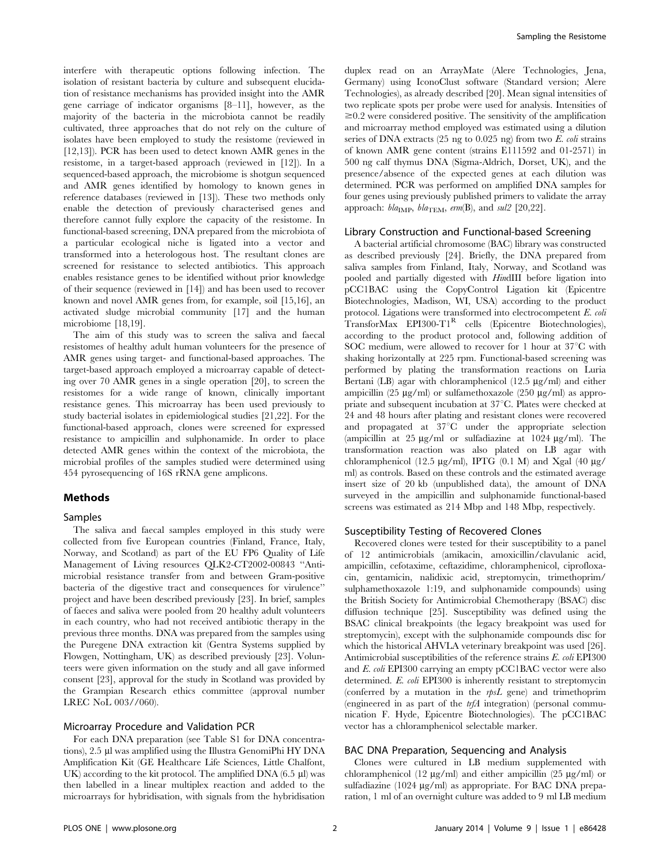interfere with therapeutic options following infection. The isolation of resistant bacteria by culture and subsequent elucidation of resistance mechanisms has provided insight into the AMR gene carriage of indicator organisms [8–11], however, as the majority of the bacteria in the microbiota cannot be readily cultivated, three approaches that do not rely on the culture of isolates have been employed to study the resistome (reviewed in [12,13]). PCR has been used to detect known AMR genes in the resistome, in a target-based approach (reviewed in [12]). In a sequenced-based approach, the microbiome is shotgun sequenced and AMR genes identified by homology to known genes in reference databases (reviewed in [13]). These two methods only enable the detection of previously characterised genes and therefore cannot fully explore the capacity of the resistome. In functional-based screening, DNA prepared from the microbiota of a particular ecological niche is ligated into a vector and transformed into a heterologous host. The resultant clones are screened for resistance to selected antibiotics. This approach enables resistance genes to be identified without prior knowledge of their sequence (reviewed in [14]) and has been used to recover known and novel AMR genes from, for example, soil [15,16], an activated sludge microbial community [17] and the human microbiome [18,19].

The aim of this study was to screen the saliva and faecal resistomes of healthy adult human volunteers for the presence of AMR genes using target- and functional-based approaches. The target-based approach employed a microarray capable of detecting over 70 AMR genes in a single operation [20], to screen the resistomes for a wide range of known, clinically important resistance genes. This microarray has been used previously to study bacterial isolates in epidemiological studies [21,22]. For the functional-based approach, clones were screened for expressed resistance to ampicillin and sulphonamide. In order to place detected AMR genes within the context of the microbiota, the microbial profiles of the samples studied were determined using 454 pyrosequencing of 16S rRNA gene amplicons.

# Methods

#### Samples

The saliva and faecal samples employed in this study were collected from five European countries (Finland, France, Italy, Norway, and Scotland) as part of the EU FP6 Quality of Life Management of Living resources QLK2-CT2002-00843 ''Antimicrobial resistance transfer from and between Gram-positive bacteria of the digestive tract and consequences for virulence'' project and have been described previously [23]. In brief, samples of faeces and saliva were pooled from 20 healthy adult volunteers in each country, who had not received antibiotic therapy in the previous three months. DNA was prepared from the samples using the Puregene DNA extraction kit (Gentra Systems supplied by Flowgen, Nottingham, UK) as described previously [23]. Volunteers were given information on the study and all gave informed consent [23], approval for the study in Scotland was provided by the Grampian Research ethics committee (approval number LREC NoL 003//060).

# Microarray Procedure and Validation PCR

For each DNA preparation (see Table S1 for DNA concentrations), 2.5 µl was amplified using the Illustra GenomiPhi HY DNA Amplification Kit (GE Healthcare Life Sciences, Little Chalfont, UK) according to the kit protocol. The amplified DNA  $(6.5 \mu l)$  was then labelled in a linear multiplex reaction and added to the microarrays for hybridisation, with signals from the hybridisation duplex read on an ArrayMate (Alere Technologies, Jena, Germany) using IconoClust software (Standard version; Alere Technologies), as already described [20]. Mean signal intensities of two replicate spots per probe were used for analysis. Intensities of  $\geq 0.2$  were considered positive. The sensitivity of the amplification and microarray method employed was estimated using a dilution series of DNA extracts (25 ng to 0.025 ng) from two  $E$ . *coli* strains of known AMR gene content (strains E111592 and 01-2571) in 500 ng calf thymus DNA (Sigma-Aldrich, Dorset, UK), and the presence/absence of the expected genes at each dilution was determined. PCR was performed on amplified DNA samples for four genes using previously published primers to validate the array approach:  $bla_{\text{IMP}}$ ,  $bla_{\text{TEM}}$ , erm(B), and sul2 [20,22].

## Library Construction and Functional-based Screening

A bacterial artificial chromosome (BAC) library was constructed as described previously [24]. Briefly, the DNA prepared from saliva samples from Finland, Italy, Norway, and Scotland was pooled and partially digested with HindIII before ligation into pCC1BAC using the CopyControl Ligation kit (Epicentre Biotechnologies, Madison, WI, USA) according to the product protocol. Ligations were transformed into electrocompetent E. coli TransforMax EPI300-T1<sup>R</sup> cells (Epicentre Biotechnologies), according to the product protocol and, following addition of SOC medium, were allowed to recover for 1 hour at  $37^{\circ}$ C with shaking horizontally at 225 rpm. Functional-based screening was performed by plating the transformation reactions on Luria Bertani (LB) agar with chloramphenicol (12.5  $\mu$ g/ml) and either ampicillin (25  $\mu$ g/ml) or sulfamethoxazole (250  $\mu$ g/ml) as appropriate and subsequent incubation at 37°C. Plates were checked at 24 and 48 hours after plating and resistant clones were recovered and propagated at  $37^{\circ}$ C under the appropriate selection (ampicillin at  $25 \mu g/ml$  or sulfadiazine at  $1024 \mu g/ml$ ). The transformation reaction was also plated on LB agar with chloramphenicol (12.5  $\mu$ g/ml), IPTG (0.1 M) and Xgal (40  $\mu$ g/ ml) as controls. Based on these controls and the estimated average insert size of 20 kb (unpublished data), the amount of DNA surveyed in the ampicillin and sulphonamide functional-based screens was estimated as 214 Mbp and 148 Mbp, respectively.

## Susceptibility Testing of Recovered Clones

Recovered clones were tested for their susceptibility to a panel of 12 antimicrobials (amikacin, amoxicillin/clavulanic acid, ampicillin, cefotaxime, ceftazidime, chloramphenicol, ciprofloxacin, gentamicin, nalidixic acid, streptomycin, trimethoprim/ sulphamethoxazole 1:19, and sulphonamide compounds) using the British Society for Antimicrobial Chemotherapy (BSAC) disc diffusion technique [25]. Susceptibility was defined using the BSAC clinical breakpoints (the legacy breakpoint was used for streptomycin), except with the sulphonamide compounds disc for which the historical AHVLA veterinary breakpoint was used [26]. Antimicrobial susceptibilities of the reference strains E. coli EPI300 and E. coli EPI300 carrying an empty pCC1BAC vector were also determined. E. coli EPI300 is inherently resistant to streptomycin (conferred by a mutation in the  $rpsL$  gene) and trimethoprim (engineered in as part of the trfA integration) (personal communication F. Hyde, Epicentre Biotechnologies). The pCC1BAC vector has a chloramphenicol selectable marker.

## BAC DNA Preparation, Sequencing and Analysis

Clones were cultured in LB medium supplemented with chloramphenicol (12  $\mu$ g/ml) and either ampicillin (25  $\mu$ g/ml) or sulfadiazine  $(1024 \text{ µg/ml})$  as appropriate. For BAC DNA preparation, 1 ml of an overnight culture was added to 9 ml LB medium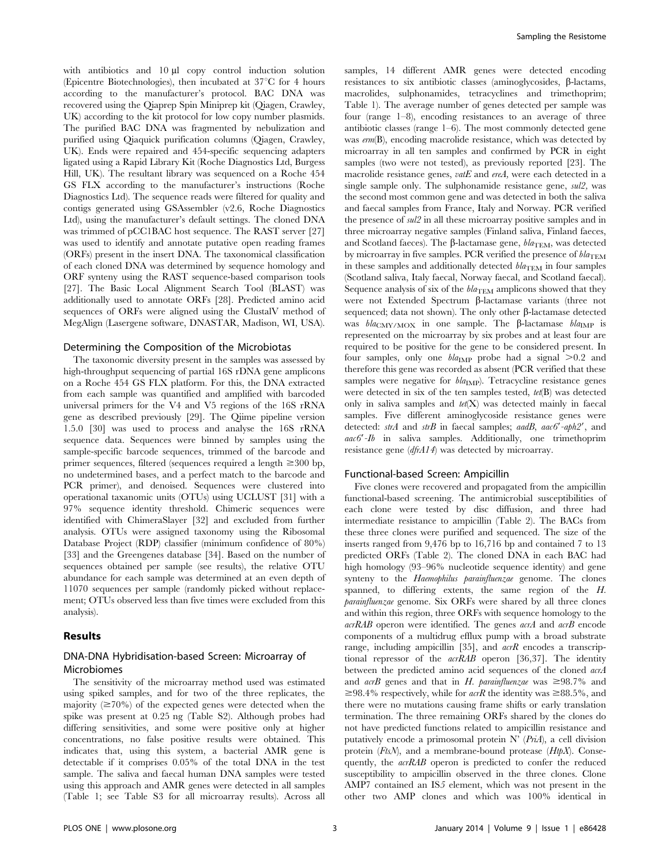with antibiotics and  $10 \mu l$  copy control induction solution (Epicentre Biotechnologies), then incubated at  $37^{\circ}$ C for 4 hours according to the manufacturer's protocol. BAC DNA was recovered using the Qiaprep Spin Miniprep kit (Qiagen, Crawley, UK) according to the kit protocol for low copy number plasmids. The purified BAC DNA was fragmented by nebulization and purified using Qiaquick purification columns (Qiagen, Crawley, UK). Ends were repaired and 454-specific sequencing adapters ligated using a Rapid Library Kit (Roche Diagnostics Ltd, Burgess Hill, UK). The resultant library was sequenced on a Roche 454 GS FLX according to the manufacturer's instructions (Roche Diagnostics Ltd). The sequence reads were filtered for quality and contigs generated using GSAssembler (v2.6, Roche Diagnostics Ltd), using the manufacturer's default settings. The cloned DNA was trimmed of pCC1BAC host sequence. The RAST server [27] was used to identify and annotate putative open reading frames (ORFs) present in the insert DNA. The taxonomical classification of each cloned DNA was determined by sequence homology and ORF synteny using the RAST sequence-based comparison tools [27]. The Basic Local Alignment Search Tool (BLAST) was additionally used to annotate ORFs [28]. Predicted amino acid sequences of ORFs were aligned using the ClustalV method of MegAlign (Lasergene software, DNASTAR, Madison, WI, USA).

## Determining the Composition of the Microbiotas

The taxonomic diversity present in the samples was assessed by high-throughput sequencing of partial 16S rDNA gene amplicons on a Roche 454 GS FLX platform. For this, the DNA extracted from each sample was quantified and amplified with barcoded universal primers for the V4 and V5 regions of the 16S rRNA gene as described previously [29]. The Qiime pipeline version 1.5.0 [30] was used to process and analyse the 16S rRNA sequence data. Sequences were binned by samples using the sample-specific barcode sequences, trimmed of the barcode and primer sequences, filtered (sequences required a length  $\geq 300$  bp, no undetermined bases, and a perfect match to the barcode and PCR primer), and denoised. Sequences were clustered into operational taxanomic units (OTUs) using UCLUST [31] with a 97% sequence identity threshold. Chimeric sequences were identified with ChimeraSlayer [32] and excluded from further analysis. OTUs were assigned taxonomy using the Ribosomal Database Project (RDP) classifier (minimum confidence of 80%) [33] and the Greengenes database [34]. Based on the number of sequences obtained per sample (see results), the relative OTU abundance for each sample was determined at an even depth of 11070 sequences per sample (randomly picked without replacement; OTUs observed less than five times were excluded from this analysis).

# Results

# DNA-DNA Hybridisation-based Screen: Microarray of Microbiomes

The sensitivity of the microarray method used was estimated using spiked samples, and for two of the three replicates, the majority  $(\geq 70\%)$  of the expected genes were detected when the spike was present at 0.25 ng (Table S2). Although probes had differing sensitivities, and some were positive only at higher concentrations, no false positive results were obtained. This indicates that, using this system, a bacterial AMR gene is detectable if it comprises 0.05% of the total DNA in the test sample. The saliva and faecal human DNA samples were tested using this approach and AMR genes were detected in all samples (Table 1; see Table S3 for all microarray results). Across all

samples, 14 different AMR genes were detected encoding resistances to six antibiotic classes (aminoglycosides,  $\beta$ -lactams, macrolides, sulphonamides, tetracyclines and trimethoprim; Table 1). The average number of genes detected per sample was four (range 1–8), encoding resistances to an average of three antibiotic classes (range  $1-6$ ). The most commonly detected gene was erm(B), encoding macrolide resistance, which was detected by microarray in all ten samples and confirmed by PCR in eight samples (two were not tested), as previously reported [23]. The macrolide resistance genes,  $\textit{vatE}$  and  $\textit{ereA}$ , were each detected in a single sample only. The sulphonamide resistance gene, sul2, was the second most common gene and was detected in both the saliva and faecal samples from France, Italy and Norway. PCR verified the presence of sul2 in all these microarray positive samples and in three microarray negative samples (Finland saliva, Finland faeces, and Scotland faeces). The  $\beta$ -lactamase gene,  $bla_{\text{TEM}}$ , was detected by microarray in five samples. PCR verified the presence of  $bla_{\text{TEM}}$ in these samples and additionally detected  $bla_{\text{TEM}}$  in four samples (Scotland saliva, Italy faecal, Norway faecal, and Scotland faecal). Sequence analysis of six of the  $bla_{TEM}$  amplicons showed that they were not Extended Spectrum  $\beta$ -lactamase variants (three not sequenced; data not shown). The only other  $\beta$ -lactamase detected was  $bla_{\text{CMY/MOX}}$  in one sample. The  $\beta$ -lactamase  $bla_{\text{IMP}}$  is represented on the microarray by six probes and at least four are required to be positive for the gene to be considered present. In four samples, only one  $bla_{\text{IMP}}$  probe had a signal  $>0.2$  and therefore this gene was recorded as absent (PCR verified that these samples were negative for  $bla_{\text{IMP}}$ ). Tetracycline resistance genes were detected in six of the ten samples tested, tet(B) was detected only in saliva samples and  $tet(X)$  was detected mainly in faecal samples. Five different aminoglycoside resistance genes were detected:  $strA$  and  $strB$  in faecal samples; aadB, aac6'-aph2', and  $aac6'-Ib$  in saliva samples. Additionally, one trimethoprim resistance gene (dfrA14) was detected by microarray.

#### Functional-based Screen: Ampicillin

Five clones were recovered and propagated from the ampicillin functional-based screening. The antimicrobial susceptibilities of each clone were tested by disc diffusion, and three had intermediate resistance to ampicillin (Table 2). The BACs from these three clones were purified and sequenced. The size of the inserts ranged from 9,476 bp to 16,716 bp and contained 7 to 13 predicted ORFs (Table 2). The cloned DNA in each BAC had high homology (93–96% nucleotide sequence identity) and gene synteny to the Haemophilus parainfluenzae genome. The clones spanned, to differing extents, the same region of the H. parainfluenzae genome. Six ORFs were shared by all three clones and within this region, three ORFs with sequence homology to the acrRAB operon were identified. The genes acrA and acrB encode components of a multidrug efflux pump with a broad substrate range, including ampicillin [35], and  $acrR$  encodes a transcriptional repressor of the acrRAB operon [36,37]. The identity between the predicted amino acid sequences of the cloned acrA and *acrB* genes and that in H. parainfluenzae was  $\geq 98.7\%$  and  $\geq 98.4\%$  respectively, while for *acrR* the identity was  $\geq 88.5\%$ , and there were no mutations causing frame shifts or early translation termination. The three remaining ORFs shared by the clones do not have predicted functions related to ampicillin resistance and putatively encode a primosomal protein  $N'$  (PriA), a cell division protein  $(FtsN)$ , and a membrane-bound protease  $(HtpX)$ . Consequently, the  $acrRAB$  operon is predicted to confer the reduced susceptibility to ampicillin observed in the three clones. Clone AMP7 contained an IS5 element, which was not present in the other two AMP clones and which was 100% identical in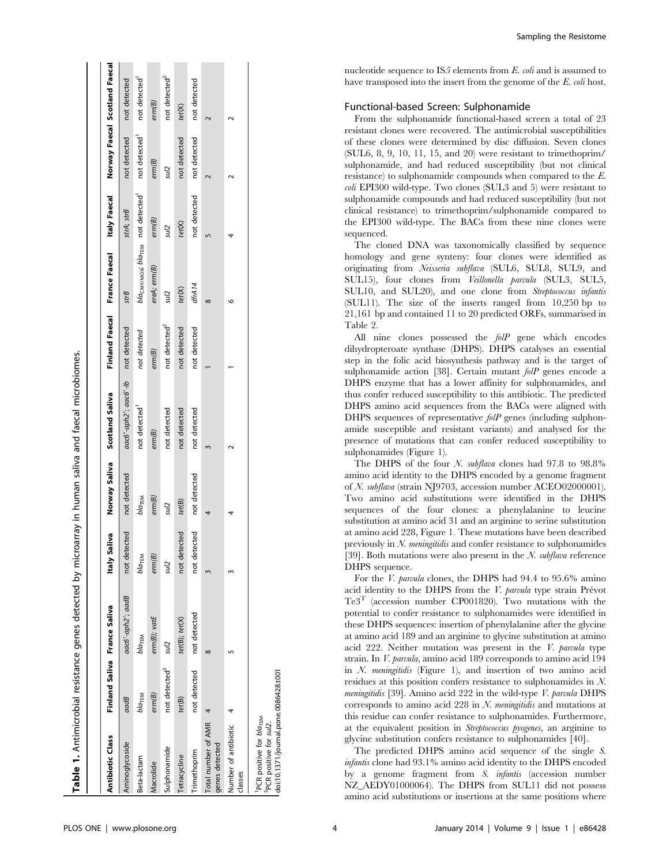| <b>Antibiotic Class</b>                                                      |                           | Finland Saliva France Saliva | Saliva<br>ltaly: |                      | Norway Saliva<br>Scotland Saliva |                           | Finland Faecal France Faecal Italy Faecal Norway Faecal Scotland Faecal |                  |                           |                           |
|------------------------------------------------------------------------------|---------------------------|------------------------------|------------------|----------------------|----------------------------------|---------------------------|-------------------------------------------------------------------------|------------------|---------------------------|---------------------------|
| Aminoglycoside                                                               | aadB                      | aac6'-aph2'; aadB            | not detected     | not detected         | aac6'-aph2'; aac6'-lb            | not detected              | strB                                                                    | strA; strB       | not detected              | not detected              |
| Beta-lactam                                                                  | $b/a$ <sub>TEM</sub>      | Ыа <sub>тем</sub>            | Ыатем            | $b/a$ <sub>TEM</sub> | not detected <sup>1</sup>        | not detected              | bla <sub>CMY/MOX</sub> ; bla <sub>TEM</sub> not detected                |                  | not detected <sup>1</sup> | not detected <sup>1</sup> |
| Macrolide                                                                    | em(B)                     | erm(B); vatE                 | em(B)            | em(B)                | em(B)                            | erm(B)                    | ereA; erm(B)                                                            | em(B)            | em(B)                     | erm(B)                    |
| Sulphonamide                                                                 | not detected <sup>2</sup> | sul2                         | sul <sub>2</sub> | sul <sub>2</sub>     | not detected                     | not detected <sup>2</sup> | sul2                                                                    | sul <sub>2</sub> | sul <sub>2</sub>          | not detected <sup>2</sup> |
| Tetracycline                                                                 | tet(B)                    | tet(B); tet(X)               | not detected     | tet(B)               | not detected                     | not detected              | tet(X)                                                                  | tet(X)           | not detected              | tet(X)                    |
| Trimethoprim                                                                 | not detected              | not detected                 | not detected     | not detected         | not detected                     | not detected              | dfrA14                                                                  | not detected     | not detected              | not detected              |
| Total number of AMR<br>genes detected                                        | 4                         | $\infty$                     |                  | 4                    |                                  |                           | $^{\circ}$                                                              |                  |                           |                           |
| Number of antibiotic<br>classes                                              |                           |                              |                  |                      |                                  |                           | o                                                                       |                  |                           |                           |
| PCR positive for bla <sub>TEM</sub> .<br><sup>2</sup> PCR positive for sul2. |                           |                              |                  |                      |                                  |                           |                                                                         |                  |                           |                           |

Sampling the Resistome

nucleotide sequence to IS5 elements from E. coli and is assumed to have transposed into the insert from the genome of the E. coli host.

# Functional-based Screen: Sulphonamide

From the sulphonamide functional-based screen a total of 23 resistant clones were recovered. The antimicrobial susceptibilities of these clones were determined by disc diffusion. Seven clones (SUL6, 8, 9, 10, 11, 15, and 20) were resistant to trimethoprim/ sulphonamide, and had reduced susceptibility (but not clinical resistance) to sulphonamide compounds when compared to the E. coli EPI300 wild-type. Two clones (SUL3 and 5) were resistant to sulphonamide compounds and had reduced susceptibility (but not clinical resistance) to trimethoprim/sulphonamide compared to the EPI300 wild-type. The BACs from these nine clones were sequenced.

The cloned DNA was taxonomically classified by sequence homology and gene synteny: four clones were identified as originating from Neisseria subflava (SUL6, SUL8, SUL9, and SUL15), four clones from Veillonella parvula (SUL3, SUL5, SUL10, and SUL20), and one clone from Streptococcus infantis (SUL11). The size of the inserts ranged from 10,250 bp to 21,161 bp and contained 11 to 20 predicted ORFs, summarised in Table 2.

All nine clones possessed the folP gene which encodes dihydropteroate synthase (DHPS). DHPS catalyses an essential step in the folic acid biosynthesis pathway and is the target of sulphonamide action [38]. Certain mutant *folP* genes encode a DHPS enzyme that has a lower affinity for sulphonamides, and thus confer reduced susceptibility to this antibiotic. The predicted DHPS amino acid sequences from the BACs were aligned with DHPS sequences of representative *folP* genes (including sulphonamide susceptible and resistant variants) and analysed for the presence of mutations that can confer reduced susceptibility to sulphonamides (Figure 1).

The DHPS of the four N. subflava clones had 97.8 to 98.8% amino acid identity to the DHPS encoded by a genome fragment of N. subflava (strain NJ9703, accession number ACEO02000001). Two amino acid substitutions were identified in the DHPS sequences of the four clones: a phenylalanine to leucine substitution at amino acid 31 and an arginine to serine substitution at amino acid 228, Figure 1. These mutations have been described previously in  $N$ . *meningitidis* and confer resistance to sulphonamides [39]. Both mutations were also present in the  $N$ . *subflava* reference DHPS sequence.

For the V. parvula clones, the DHPS had 94.4 to 95.6% amino acid identity to the DHPS from the  $V$ . parvula type strain Prévot  $Te3<sup>T</sup>$  (accession number CP001820). Two mutations with the potential to confer resistance to sulphonamides were identified in these DHPS sequences: insertion of phenylalanine after the glycine at amino acid 189 and an arginine to glycine substitution at amino acid 222. Neither mutation was present in the V. parvula type strain. In V. parvula, amino acid 189 corresponds to amino acid 194 in  $N$ . *meningitidis* (Figure 1), and insertion of two amino acid residues at this position confers resistance to sulphonamides in N. meningitidis [39]. Amino acid 222 in the wild-type V. parvula DHPS corresponds to amino acid 228 in N. meningitidis and mutations at this residue can confer resistance to sulphonamides. Furthermore, at the equivalent position in Streptococcus pyogenes, an arginine to glycine substitution confers resistance to sulphonamides [40].

The predicted DHPS amino acid sequence of the single S. infantis clone had 93.1% amino acid identity to the DHPS encoded by a genome fragment from S. infantis (accession number NZ\_AEDY01000064). The DHPS from SUL11 did not possess amino acid substitutions or insertions at the same positions where

Table 1. Antimicrobial resistance genes detected by microarray in human saliva and faecal microbiomes.

Table 1. Antimicrobial resistance genes detected by microarray in human saliva and faecal microbiomes.

doi:10.1371/journal.pone.0086428.t001

doi:10.1371/journal.pone.0086428.t001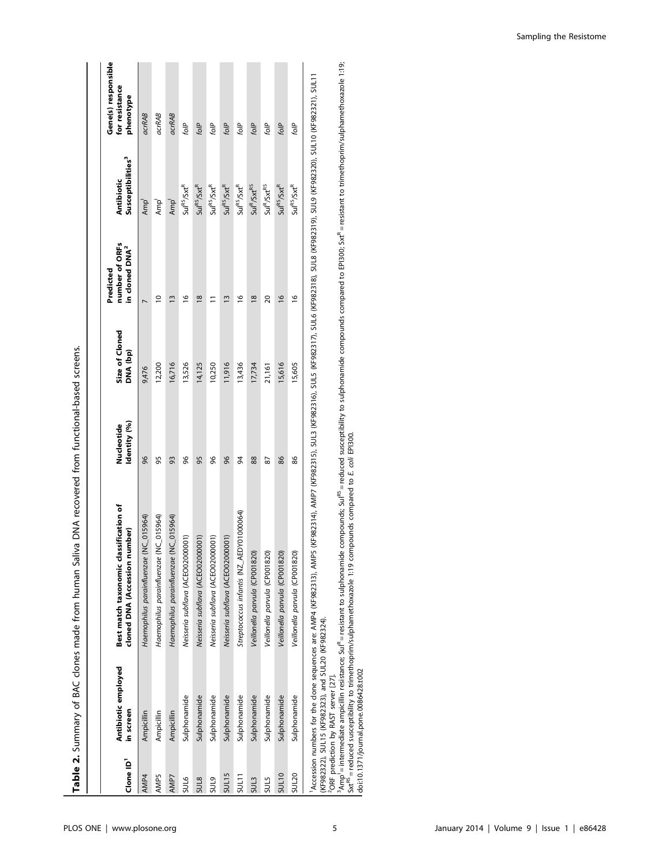| Clone ID <sup>1</sup> | Antibiotic employed<br>in screen | Best match taxonomic classification of<br>cloned DNA (Accession number) | Identity (%)<br>Nucleotide | Size of Cloned<br>DNA (bp) | number of ORFs<br>in cloned DNA <sup>2</sup><br>Predicted | Susceptibilities <sup>3</sup><br><b>Antibiotic</b> | Gene(s) responsible<br>for resistance<br>phenotype |
|-----------------------|----------------------------------|-------------------------------------------------------------------------|----------------------------|----------------------------|-----------------------------------------------------------|----------------------------------------------------|----------------------------------------------------|
| AMP4                  | Ampicillin                       | Haemophilus parainfluenzae (NC_015964)                                  | 96                         | 9,476                      |                                                           | Amp <sup>1</sup>                                   | <b>acrRAB</b>                                      |
| AMP5                  | Ampicillin                       | Haemophilus parainfluenzae (NC_015964)                                  | 95                         | 12,200                     | $\overline{\phantom{0}}$                                  | Amp <sup>1</sup>                                   | acrRAB                                             |
| AMP7                  | Ampicillin                       | Haemophilus parainfluenzae (NC_015964)                                  | 93                         | 16,716                     | $\bar{c}$                                                 | Amp <sup>1</sup>                                   | <b>acrRAB</b>                                      |
| SUL6                  | Sulphonamide                     | Neisseria subflava (ACEO02000001)                                       | 96                         | 13,526                     | ٯ                                                         | $SuI^{RS}/Sxt^R$                                   | folP                                               |
| <b>SUL8</b>           | Sulphonamide                     | Neisseria subflava (ACEO02000001)                                       | 95                         | 14,125                     | $\frac{8}{16}$                                            | $SuI^{RS}/Sxt^R$                                   | folP                                               |
| <b>SULS</b>           | Sulphonamide                     | Neisseria subflava (ACEO02000001)                                       | 96                         | 10,250                     | $\Xi$                                                     | $SuI^{RS}/Sxt^R$                                   | folP                                               |
| SUL15                 | Sulphonamide                     | Neisseria subflava (ACEO02000001)                                       | 96                         | 11,916                     | $\tilde{ }$                                               | $SuI^{RS}/Sxt^R$                                   | folP                                               |
| $5$ UL11              | Sulphonamide                     | Streptococcus infantis (NZ_AEDY01000064)                                | 94                         | 13,436                     | ڡ                                                         | $SuI^{RS}/Sxt^R$                                   | folP                                               |
| SUL3                  | Sulphonamide                     | Veillonella parvula (CP001820)                                          | 88                         | 17,734                     | $\frac{8}{16}$                                            | $\text{Sul}^R/\text{Sxt}^R$                        | folP                                               |
| SUL5                  | Sulphonamide                     | Veillonella parvula (CP001820)                                          | 87                         | 21,161                     | 20                                                        | Su <sup>R</sup> /Sx <sup>RS</sup>                  | folP                                               |
| <b>SUL10</b>          | Sulphonamide                     | Veillonella parvula (CP001820)                                          | 86                         | 15,616                     | $\frac{8}{1}$                                             | $SuI^{RS}/Sxt^R$                                   | folP                                               |
| SUL <sub>20</sub>     | Sulphonamide                     | Veillonella parvula (CP001820)                                          | 86                         | 15,605                     | $\frac{6}{1}$                                             | $SuI^{RS}/Sxt^R$                                   | folP                                               |

2ORF prediction by RAST server [27].

<sup>2</sup>ORF prediction by RAST server [27].<br><sup>2</sup>ORF prediction by RAST server [27].<br>Sxt<sup>Rs</sup> = reduced susceptibility to trimethoprin/sulphamethoxazole [:19 compounds compared compunds compared to EPI300; Sxt<sup>R</sup> = resistant to t 3Amp<sup>l</sup> = intermediate ampicillin resistance; Sul<sup>R</sup> = resistant to sulphonamide compounds; Sul<sup>RS</sup> = reduced susceptibility to sulphonamide compounds compared to EPI300; Sxt<sup>R</sup> = resistant to trimethoprim/sulphamethoxazol Sxt<sup>RS</sup> = reduced susceptibility to trimethoprim/sulphamethoxazole 1:19 compounds compared to E. coli EPI300.

Sampling the Resistome

doi:10.1371/journal.pone.0086428.t002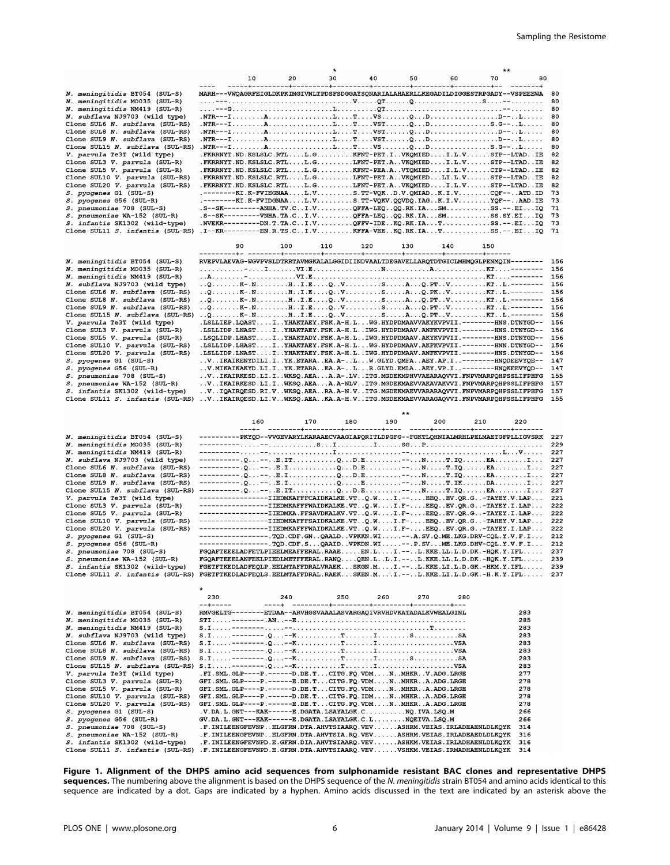|                                                                    |                                                                                                                                                                           |     | *   |     |     |     | **  |            |
|--------------------------------------------------------------------|---------------------------------------------------------------------------------------------------------------------------------------------------------------------------|-----|-----|-----|-----|-----|-----|------------|
|                                                                    | 10                                                                                                                                                                        | 20  | 30  | 40  | 50  | 60  | 70  | 80         |
| N. meningitidis BT054 (SUL-S)                                      | MARH---VWQAGRFEIGLDKPKIMGIVNLTPDSFSDGGAYSQNARIALAHAERLLKEGADILDIGGESTRPGADY--VSPEEEWA                                                                                     |     |     |     |     |     |     | 80         |
| N. meningitidis MO035 (SUL-R)                                      |                                                                                                                                                                           |     |     |     |     |     |     | 80         |
| N. meningitidis NM419 (SUL-R)                                      |                                                                                                                                                                           |     |     |     |     |     |     | 80         |
| N. subflava NJ9703 (wild type)                                     |                                                                                                                                                                           |     |     |     |     |     |     | 80         |
| Clone SUL6 N. subflava (SUL-RS)                                    | .NTR---IALTVSTQDS.G--L                                                                                                                                                    |     |     |     |     |     |     | 80         |
| Clone SUL8 N. subflava (SUL-RS)                                    | .NTR---IALTVSTQDD--L                                                                                                                                                      |     |     |     |     |     |     | 80         |
| Clone SUL9 N. subflava (SUL-RS)                                    |                                                                                                                                                                           |     |     |     |     |     |     | 80         |
| Clone SUL15 N. subflava (SUL-RS)                                   | .NTR---IALTVSQDS.G--L                                                                                                                                                     |     |     |     |     |     |     | 80         |
| V. parvula Te3T (wild type)                                        | .FKRRNYT.ND.KSLSLC.RTLL.GKFNT-PET.IVKQMIEDI.L.VSTP--LTADIE                                                                                                                |     |     |     |     |     |     | 82         |
| Clone SUL3 V. parvula (SUL-R)                                      | .FKRRNYT.ND.KSLSLC.RTLL.GLFNT-PET.AVKQMIEDI.L.VSTP--LTADIE                                                                                                                |     |     |     |     |     |     | 82         |
| Clone SUL5 V. parvula (SUL-R)                                      | .FKRRNYT.ND.KSLSLC.RTLL.GKFNT-PEA.AVTOMIEDI.L.VCTP--LTADIE                                                                                                                |     |     |     |     |     |     | 82         |
| Clone SUL10 V. parvula (SUL-RS)                                    | .FKRRNYT.ND.KSLSLC.RTLL.GLFNT-PET.AVKQMIEDLI.L.VSTP--LTADIE                                                                                                               |     |     |     |     |     |     | 82         |
| Clone SUL20 V. parvula (SUL-RS)                                    | .FKRRNYT.ND.KSLSLC.RTLL.GLFNT-PET.AVKOMIEDI.L.VSTP--LTADIE                                                                                                                |     |     |     |     |     |     | 82         |
| S. pyogenes G1 (SUL-S)                                             | .--------KI.K-FVIEGNAAL.VS.TT-VQKD.V.QMIADK.I.VCQF--ATD.ID                                                                                                                |     |     |     |     |     |     | 73         |
| S. pyogenes G56 (SUL-R)                                            | .--------KI.K-FVIDGNAAL.VS.TT-VQKV.QQVDQ.IAGK.I.VYQF--AAD.IE                                                                                                              |     |     |     |     |     |     | 73         |
| S. pneumoniae 708 (SUL-S)                                          | .S--SK---------ANHA.TV.CI.VQFFA-LEQQQ.RK.IASMSS.--.EIIQ                                                                                                                   |     |     |     |     |     |     | 71         |
| S. pneumoniae WA-152 (SUL-R)                                       | $.S--SK-------VNHA.TA.CI.VQFFA-LEQ. QQ.RK.IASMSS.SY.EIIQ$                                                                                                                 |     |     |     |     |     |     | 73         |
| S. infantis SK1302 (wild-type)                                     | .NVEKR---------DN.T.TA.CI.VQFFV-IDEKQ.RK.IATSS.--.EIIQ                                                                                                                    |     |     |     |     |     |     | 73         |
| Clone SUL11 S. infantis (SUL-RS)                                   | .I--KR---------EN.R.TS.CI.VKFFA-VEEKQ.RK.IATSS.--.EIIQ                                                                                                                    |     |     |     |     |     |     | 71         |
|                                                                    |                                                                                                                                                                           |     |     |     |     |     |     |            |
|                                                                    |                                                                                                                                                                           |     |     |     |     |     |     |            |
|                                                                    | 90                                                                                                                                                                        | 100 | 110 | 120 | 130 | 140 | 150 |            |
|                                                                    |                                                                                                                                                                           |     |     |     |     |     |     |            |
| N. meningitidis BT054 (SUL-S)                                      | RVEPVLAEVAG-WGVPVSLDTRRTAVMGKALALGGIDIINDVAALTDEGAVELLAROTDTGICLMHMOGLPENMOIN--------                                                                                     |     |     |     |     |     |     | 156        |
| N. meningitidis MO035 (SUL-R)                                      |                                                                                                                                                                           |     |     |     |     |     |     | 156        |
| N. meningitidis NM419 (SUL-R)                                      |                                                                                                                                                                           |     |     |     |     |     |     | 156        |
| N. subflava NJ9703 (wild type)                                     | QK-.NHI.EQVSAQ.PTVKTL.--------                                                                                                                                            |     |     |     |     |     |     | 156        |
| Clone SUL6 N. subflava (SUL-RS)                                    | QK-.NHI.EQVSAQ.PKVKTL.--------                                                                                                                                            |     |     |     |     |     |     | 156        |
| Clone SUL8 N. subflava (SUL-RS)                                    | 0K-.NHI.E0VSA0.PTVKTL.-------                                                                                                                                             |     |     |     |     |     |     | 156        |
| Clone SUL9 N. subflava (SUL-RS)                                    | QK-.NHI.EQVSAQ.PTVKTL.-------                                                                                                                                             |     |     |     |     |     |     | 156        |
| Clone SUL15 N. subflava (SUL-RS)                                   | QK-.NHI.EQVSAQ.PTVKTL.--------                                                                                                                                            |     |     |     |     |     |     | 156        |
| V. parvula Te3T (wild type)                                        | .LSLLIEP.LQASTIYHAKTAEY.FSK.A-H.LWG.HYDPDMAAVVAKYKVPVII.--------HNS.DTNYGD--                                                                                              |     |     |     |     |     |     | 156        |
| Clone SUL3 V. parvula (SUL-R)                                      | .LSLLIDP.LNASTIYHAKTAEY.FSK.A-H.LIWG.HYDPDMAAV.ANFKVPVII.--------HNS.DTNYGD--                                                                                             |     |     |     |     |     |     | 156        |
| Clone SUL5 V. parvula (SUL-R)                                      | -LSQLIDP.LHASTIYHAKTADY.FSK.A-H.LIWG.HYDPDMAAV.AKYKVPVII.--------HNS.DTNYGD-.                                                                                             |     |     |     |     |     |     | 156        |
| Clone SUL10 V. parvula (SUL-RS)                                    | -LSLLIDP.LHASTIYHAKTAEY.FSK.A-H.LWG.HYDPDMAAV.AKFKVPVII.--------HNN.DTNYGD-.                                                                                              |     |     |     |     |     |     | 156        |
| Clone SUL20 V. parvula (SUL-RS)                                    | .LSLLIDP.LNASTIYHAKTAEY.FSK.A-H.LIWG.HYDPDMAAV.ANFKVPVII.--------HNS.DTNYGD--                                                                                             |     |     |     |     |     |     | 156        |
| S. pyogenes G1 (SUL-S)                                             | VIKAIKENYDILI.IYK.ETARAEA.A-LW.GLYD.QMFAAEY.AP.I--------HNQDEEVYQE--                                                                                                      |     |     |     |     |     |     | 147        |
| S. pyogenes G56 (SUL-R)                                            | . . V . MIKAIKAKYD . LI . I YK . ETARA EA . A- L R . GLYD . EMLA AEY . VP . I --------HNQKEEVYQD--                                                                        |     |     |     |     |     |     | 147        |
| S. pneumoniae 708 (SUL-S)                                          | VIKAIRKESD.LI.IWKSQ.AEAA.A-.LVITG.MGDEKMPHVVAEARAQVVI.FNPVMARPQHPSSLIFPHFG                                                                                                |     |     |     |     |     |     | 155        |
| S. pneumoniae WA-152 (SUL-R)                                       | VIKAIRKESD.LI.IWKSQ.AEAA.A-NLVITG.MGDEKMAEVVAKAVAKVVI.FNPVMARPQHPSSLIFPHFG                                                                                                |     |     |     |     |     |     | 157        |
| S. infantis SK1302 (wild-type)<br>Clone SUL11 S. infantis (SUL-RS) | VIQAIRQESD.RI.VWKSQ.AEARA.A-N.VITG.MGDEKMAEVVARARAQVVI.FNPVMARPQHPSSLIFPHFG<br>V. . IKAIRQESD.LI.V. .WKSQ.AEA. .KA.A-H.V. . ITG.MGDEKMAEVVARAGAQVVI. FNPVMARPQHPSSLIFPHFG |     |     |     |     |     |     | 157<br>155 |

|                                  |                                                                                                    |       |       | $***$ |     |     |     |     |
|----------------------------------|----------------------------------------------------------------------------------------------------|-------|-------|-------|-----|-----|-----|-----|
|                                  | 160                                                                                                | 170 — | 180 1 | 190   | 200 | 210 | 220 |     |
| N. meningitidis BT054 (SUL-S)    | --------PKYQD--VVGEVARYLKARAAECVAAGIAPQRITLDPGFG--FGKTLQHNIALMRHLPELMAETGFPLLIGVSRK                |       |       |       |     |     |     | 227 |
| N. meningitidis MO035 (SUL-R)    |                                                                                                    |       |       |       |     |     |     | 229 |
|                                  |                                                                                                    |       |       |       |     |     |     | 227 |
| N. meningitidis NM419 (SUL-R)    |                                                                                                    |       |       |       |     |     |     |     |
| N. subflava NJ9703 (wild type)   | $-------Q---E.ITQD.E---NT.IQEAI$                                                                   |       |       |       |     |     |     | 227 |
| Clone SUL6 N. subflava (SUL-RS)  |                                                                                                    |       |       |       |     |     |     | 227 |
| Clone SUL8 N. subflava (SUL-RS)  | $------.Q---.E.IQD.ENT.IQEA1$                                                                      |       |       |       |     |     |     | 227 |
| Clone SUL9 N. subflava (SUL-RS)  |                                                                                                    |       |       |       |     |     |     | 227 |
| Clone SUL15 N. subflava (SUL-RS) |                                                                                                    |       |       |       |     |     |     | 227 |
| V. parvula Te3T (wild type)      | ----------------IIEDMKAFFFCAIDKALKE.VTQ.WI.--EEQEV.QR.G-TAYEY.V.LAP                                |       |       |       |     |     |     | 221 |
| Clone SUL3 V. parvula (SUL-R)    | ----------------TIEDMKAFFFWAIDKALKE.VTQ.WI.F-EEQEV.QR.G-TAYEY.I.LAP                                |       |       |       |     |     |     | 222 |
| Clone SUL5 V. parvula (SUL-R)    | ----------------IIEDMKA.FFSAVDKALKV.VTQ.WI.F-EEQEV.QR.G-TAYEY.I.LAP                                |       |       |       |     |     |     | 222 |
| Clone SUL10 V. parvula (SUL-RS)  | ----------------TIEDMKAFFFSAIDKALKE.VTQ.WI.F-EEQEV.QR.G-TAHEY.V.LAP                                |       |       |       |     |     |     | 222 |
| Clone SUL20 V. parvula (SUL-RS)  | ----------------IIEDMKAFFFWAIDKALKE.VTQ.WI.F-EEQEV.QR.G-TAYEY.I.LAP                                |       |       |       |     |     |     | 222 |
| S. pyogenes G1 (SUL-S)           | ----------------,TQD.CDF.GNQAALDVPKKN.WI--.A.SV.Q.ME.LKG.DRV-CQL.Y.V.F.I                           |       |       |       |     |     |     | 212 |
| S. pyogenes G56 (SUL-R)          | -----------------,TQD.CDF.SQAAIDVPKDN.WI--.P.SVME.LKG.DHV-CQL.Y.V.F.I                              |       |       |       |     |     |     | 212 |
| S. pneumoniae 708 (SUL-S)        | FGQAFTEEELADFETLPIEELMEAFFERAL.RAAEEN.LI.--L.KKE.LL.L.D.DK.-HQK.Y.IFL                              |       |       |       |     |     |     | 237 |
| S. pneumoniae WA-152 (SUL-R)     | ${\tt FGOAFFIEEELANFEKLPIEDLMETFFERAL.RANO.0EN.L. . L. . L. - - L.KKE. LL. L. D. DK.-HOK. Y. IFL.$ |       |       |       |     |     |     | 239 |
| S. infantis SK1302 (wild-type)   | FGETFTKEDLADFEQLP.EELMTAFFDRALVRAEKSKGN.MI.--L.KKE.LI.L.D.GK.-HKM.Y.IFL                            |       |       |       |     |     |     | 239 |
| Clone SUL11 S. infantis (SUL-RS) | $FGETFTKEDLADFFCLS. EELMTAFFDRAL.RAEK.SKEN.M. I . --. . L.KKE. LI. L.D. GK. -H. K.Y. IFL.$         |       |       |       |     |     |     | 237 |

|                                  | 230                                                                                                                                                   | 240 | 250 | 260 | 270 | 280                                                                                |     |
|----------------------------------|-------------------------------------------------------------------------------------------------------------------------------------------------------|-----|-----|-----|-----|------------------------------------------------------------------------------------|-----|
|                                  |                                                                                                                                                       |     |     |     |     |                                                                                    |     |
| N. meningitidis BT054 (SUL-S)    | RMVGELTG-------ETDAA--ARVHGSVAAALASVARGAQIVRVHDVKATADALKVWEALGINL                                                                                     |     |     |     |     |                                                                                    | 283 |
| N. meningitidis MO035 (SUL-R)    |                                                                                                                                                       |     |     |     |     |                                                                                    | 285 |
| N. meningitidis NM419 (SUL-R)    |                                                                                                                                                       |     |     |     |     |                                                                                    | 283 |
| N. subflava NJ9703 (wild type)   | $S.I. \ldots . - - - - - - Q. \ldots - K. \ldots . \ldots . T. \ldots . I. \ldots . \ldots . S. \ldots . \ldots . S A$                                |     |     |     |     |                                                                                    | 283 |
| Clone SUL6 N. subflava (SUL-RS)  |                                                                                                                                                       |     |     |     |     |                                                                                    | 283 |
| Clone SUL8 N. subflava (SUL-RS)  | $S.I. \ldots . - - - - - - Q. \ldots - K. \ldots . \ldots . T. \ldots . I. \ldots . \ldots . \ldots . \ldots . \ldots . VSA$                          |     |     |     |     |                                                                                    | 283 |
| Clone SUL9 N. subflava (SUL-RS)  |                                                                                                                                                       |     |     |     |     |                                                                                    | 283 |
| Clone SUL15 N. subflava (SUL-RS) | $S.L. \ldots . - - - - - - - Q. \ldots - - K. \ldots . \ldots . \cdot T. \ldots . \ldots . I. \ldots . \ldots . \ldots . \ldots . \ldots . \cdot VSA$ |     |     |     |     |                                                                                    | 283 |
| V. parvula Te3T (wild type)      | .FI.SML.GLP----P.-----D.DE.TCITG.FO.VDMNMHKRV.ADG.LRGE                                                                                                |     |     |     |     |                                                                                    | 277 |
| Clone SUL3 V. parvula (SUL-R)    | GFI.SML.GLP----P.------E.DE.TCITG.FQ.VDMNMHKRA.ADG.LRGE                                                                                               |     |     |     |     |                                                                                    | 278 |
| Clone SUL5 V. parvula (SUL-R)    | GFI.SML.GLP----P.------D.DE.TCITG.FQ.VDMNMHKRA.ADG.LRGE                                                                                               |     |     |     |     |                                                                                    | 278 |
| Clone SUL10 V. parvula (SUL-RS)  | GFI.SML.GLP----P.-----D.DE.TCITG.FQ.IDMNMHKRA.ADG.LRGE                                                                                                |     |     |     |     |                                                                                    | 278 |
| Clone SUL20 V. parvula (SUL-RS)  | GFI.SML.GLP----P.------E.DE.TCITG.FO.VDMNMHKRA.ADG.LRGE                                                                                               |     |     |     |     |                                                                                    | 278 |
| S. pyogenes G1 (SUL-S)           | $.V.DA.L.GNT---KAK---E.DGATA.LSAYALGK.CNQ.IVA.LSQ.M$                                                                                                  |     |     |     |     |                                                                                    | 266 |
| S. pyogenes G56 (SUL-R)          | $GV,DA, L, GNT---KAK---E, DGATA, LSAYALGK, C, L, , NOEIVA, LSO, M$                                                                                    |     |     |     |     |                                                                                    | 266 |
| S. pneumoniae 708 (SUL-S)        |                                                                                                                                                       |     |     |     |     | .F. INILEENGFEVNP. . ELGFRN. DTA. AHVTSIAARO. VEV. ASHRM. VEIAS. IRLADEAENLDLKOYK  | 314 |
| S. pneumoniae WA-152 (SUL-R)     |                                                                                                                                                       |     |     |     |     | .F. INILEENGFEVNP. . ELGFRN. DTA. AHVTSIA. RQ. VEV. ASHRM. VEIAS. IRLADEAEDLDLKQYK | 316 |
| S. infantis SK1302 (wild-type)   |                                                                                                                                                       |     |     |     |     | .F. INILEENGFEVNPD.E.GFRN.DIA.AHVTSIAARQ.VEVASHKM.VEIAS.IRLADHAENLDLKQYK           | 316 |
| Clone SUL11 S. infantis (SUL-RS) |                                                                                                                                                       |     |     |     |     | .F. INILEENGFEVNPD.E.GFRN.DTA.AHVTSIAARQ.VEVVSHKM.VEIAS.IRMADHAENLDLKQYK           | 314 |

 $\star$ 

Figure 1. Alignment of the DHPS amino acid sequences from sulphonamide resistant BAC clones and representative DHPS sequences. The numbering above the alignment is based on the DHPS sequence of the N. meningitidis strain BT054 and amino acids identical to this sequence are indicated by a dot. Gaps are indicated by a hyphen. Amino acids discussed in the text are indicated by an asterisk above the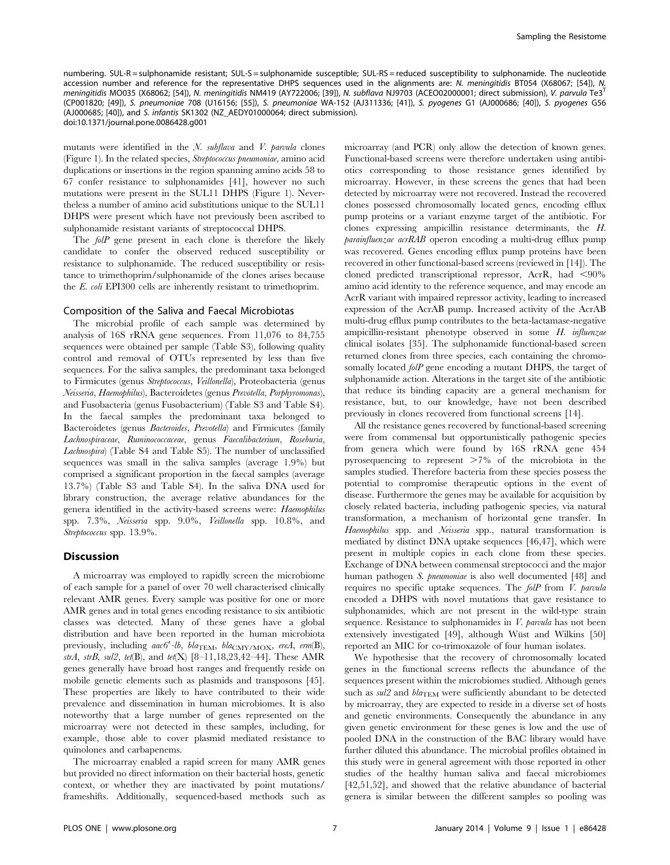numbering. SUL-R = sulphonamide resistant; SUL-S = sulphonamide susceptible; SUL-RS = reduced susceptibility to sulphonamide. The nucleotide accession number and reference for the representative DHPS sequences used in the alignments are: N. meningitidis BT054 (X68067; [54]), N. meningitidis MO035 (X68062; [54]), N. meningitidis NM419 (AY722006; [39]), N. subflava NJ9703 (ACEO02000001; direct submission), V. parvula Te3<sup>T</sup> (CP001820; [49]), S. pneumoniae 708 (U16156; [55]), S. pneumoniae WA-152 (AJ311336; [41]), S. pyogenes G1 (AJ000686; [40]), S. pyogenes G56 (AJ000685; [40]), and S. infantis SK1302 (NZ\_AEDY01000064; direct submission). doi:10.1371/journal.pone.0086428.g001

mutants were identified in the N. subflava and V. parvula clones (Figure 1). In the related species, Streptococcus pneumoniae, amino acid duplications or insertions in the region spanning amino acids 58 to 67 confer resistance to sulphonamides [41], however no such mutations were present in the SUL11 DHPS (Figure 1). Nevertheless a number of amino acid substitutions unique to the SUL11 DHPS were present which have not previously been ascribed to sulphonamide resistant variants of streptococcal DHPS.

The folP gene present in each clone is therefore the likely candidate to confer the observed reduced susceptibility or resistance to sulphonamide. The reduced susceptibility or resistance to trimethoprim/sulphonamide of the clones arises because the E. coli EPI300 cells are inherently resistant to trimethoprim.

## Composition of the Saliva and Faecal Microbiotas

The microbial profile of each sample was determined by analysis of 16S rRNA gene sequences. From 11,076 to 84,755 sequences were obtained per sample (Table S3), following quality control and removal of OTUs represented by less than five sequences. For the saliva samples, the predominant taxa belonged to Firmicutes (genus Streptococcus, Veillonella), Proteobacteria (genus Neisseria, Haemophilus), Bacteroidetes (genus Prevotella, Porphyromonas), and Fusobacteria (genus Fusobacterium) (Table S3 and Table S4). In the faecal samples the predominant taxa belonged to Bacteroidetes (genus Bacteroides, Prevotella) and Firmicutes (family Lachnospiraceae, Ruminococcaceae, genus Faecalibacterium, Roseburia, Lachnospira) (Table S4 and Table S5). The number of unclassified sequences was small in the saliva samples (average 1.9%) but comprised a significant proportion in the faecal samples (average 13.7%) (Table S3 and Table S4). In the saliva DNA used for library construction, the average relative abundances for the genera identified in the activity-based screens were: Haemophilus spp. 7.3%, Neisseria spp. 9.0%, Veillonella spp. 10.8%, and Streptococcus spp. 13.9%.

# **Discussion**

A microarray was employed to rapidly screen the microbiome of each sample for a panel of over 70 well characterised clinically relevant AMR genes. Every sample was positive for one or more AMR genes and in total genes encoding resistance to six antibiotic classes was detected. Many of these genes have a global distribution and have been reported in the human microbiota previously, including  $aac6'$ -lb,  $bla_{\text{TEM}}, bla_{\text{CMY/MOX}}, \text{ereA}, \text{erm}(B),$ strA, strB, sul2, tet(B), and tet(X)  $[8-11, 18, 23, 42-44]$ . These AMR genes generally have broad host ranges and frequently reside on mobile genetic elements such as plasmids and transposons [45]. These properties are likely to have contributed to their wide prevalence and dissemination in human microbiomes. It is also noteworthy that a large number of genes represented on the microarray were not detected in these samples, including, for example, those able to cover plasmid mediated resistance to quinolones and carbapenems.

The microarray enabled a rapid screen for many AMR genes but provided no direct information on their bacterial hosts, genetic context, or whether they are inactivated by point mutations/ frameshifts. Additionally, sequenced-based methods such as microarray (and PCR) only allow the detection of known genes. Functional-based screens were therefore undertaken using antibiotics corresponding to those resistance genes identified by microarray. However, in these screens the genes that had been detected by microarray were not recovered. Instead the recovered clones possessed chromosomally located genes, encoding efflux pump proteins or a variant enzyme target of the antibiotic. For clones expressing ampicillin resistance determinants, the H. parainfluenzae acrRAB operon encoding a multi-drug efflux pump was recovered. Genes encoding efflux pump proteins have been recovered in other functional-based screens (reviewed in [14]). The cloned predicted transcriptional repressor, AcrR, had  $\langle 90\%$ amino acid identity to the reference sequence, and may encode an AcrR variant with impaired repressor activity, leading to increased expression of the AcrAB pump. Increased activity of the AcrAB multi-drug efflux pump contributes to the beta-lactamase-negative ampicillin-resistant phenotype observed in some H. influenzae clinical isolates [35]. The sulphonamide functional-based screen returned clones from three species, each containing the chromosomally located *folP* gene encoding a mutant DHPS, the target of sulphonamide action. Alterations in the target site of the antibiotic that reduce its binding capacity are a general mechanism for resistance, but, to our knowledge, have not been described previously in clones recovered from functional screens [14].

All the resistance genes recovered by functional-based screening were from commensal but opportunistically pathogenic species from genera which were found by 16S rRNA gene 454 pyrosequencing to represent  $>7\%$  of the microbiota in the samples studied. Therefore bacteria from these species possess the potential to compromise therapeutic options in the event of disease. Furthermore the genes may be available for acquisition by closely related bacteria, including pathogenic species, via natural transformation, a mechanism of horizontal gene transfer. In Haemophilus spp. and Neisseria spp., natural transformation is mediated by distinct DNA uptake sequences [46,47], which were present in multiple copies in each clone from these species. Exchange of DNA between commensal streptococci and the major human pathogen S. pneumoniae is also well documented [48] and requires no specific uptake sequences. The folP from V. parvula encoded a DHPS with novel mutations that gave resistance to sulphonamides, which are not present in the wild-type strain sequence. Resistance to sulphonamides in *V. parvula* has not been extensively investigated [49], although Wüst and Wilkins [50] reported an MIC for co-trimoxazole of four human isolates.

We hypothesise that the recovery of chromosomally located genes in the functional screens reflects the abundance of the sequences present within the microbiomes studied. Although genes such as  $sul2$  and  $bla_{\text{TEM}}$  were sufficiently abundant to be detected by microarray, they are expected to reside in a diverse set of hosts and genetic environments. Consequently the abundance in any given genetic environment for these genes is low and the use of pooled DNA in the construction of the BAC library would have further diluted this abundance. The microbial profiles obtained in this study were in general agreement with those reported in other studies of the healthy human saliva and faecal microbiomes [42,51,52], and showed that the relative abundance of bacterial genera is similar between the different samples so pooling was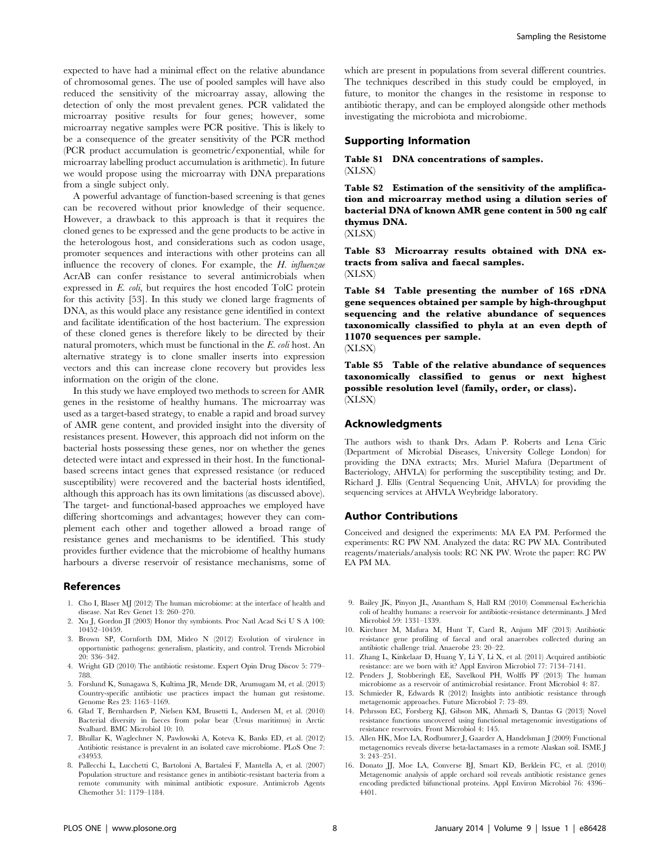expected to have had a minimal effect on the relative abundance of chromosomal genes. The use of pooled samples will have also reduced the sensitivity of the microarray assay, allowing the detection of only the most prevalent genes. PCR validated the microarray positive results for four genes; however, some microarray negative samples were PCR positive. This is likely to be a consequence of the greater sensitivity of the PCR method (PCR product accumulation is geometric/exponential, while for microarray labelling product accumulation is arithmetic). In future we would propose using the microarray with DNA preparations from a single subject only.

A powerful advantage of function-based screening is that genes can be recovered without prior knowledge of their sequence. However, a drawback to this approach is that it requires the cloned genes to be expressed and the gene products to be active in the heterologous host, and considerations such as codon usage, promoter sequences and interactions with other proteins can all influence the recovery of clones. For example, the  $H$ . influenzae AcrAB can confer resistance to several antimicrobials when expressed in E. coli, but requires the host encoded TolC protein for this activity [53]. In this study we cloned large fragments of DNA, as this would place any resistance gene identified in context and facilitate identification of the host bacterium. The expression of these cloned genes is therefore likely to be directed by their natural promoters, which must be functional in the E. coli host. An alternative strategy is to clone smaller inserts into expression vectors and this can increase clone recovery but provides less information on the origin of the clone.

In this study we have employed two methods to screen for AMR genes in the resistome of healthy humans. The microarray was used as a target-based strategy, to enable a rapid and broad survey of AMR gene content, and provided insight into the diversity of resistances present. However, this approach did not inform on the bacterial hosts possessing these genes, nor on whether the genes detected were intact and expressed in their host. In the functionalbased screens intact genes that expressed resistance (or reduced susceptibility) were recovered and the bacterial hosts identified, although this approach has its own limitations (as discussed above). The target- and functional-based approaches we employed have differing shortcomings and advantages; however they can complement each other and together allowed a broad range of resistance genes and mechanisms to be identified. This study provides further evidence that the microbiome of healthy humans harbours a diverse reservoir of resistance mechanisms, some of

#### References

- 1. Cho I, Blaser MJ (2012) The human microbiome: at the interface of health and disease. Nat Rev Genet 13: 260–270.
- 2. Xu J, Gordon JI (2003) Honor thy symbionts. Proc Natl Acad Sci U S A 100: 10452–10459.
- 3. Brown SP, Cornforth DM, Mideo N (2012) Evolution of virulence in opportunistic pathogens: generalism, plasticity, and control. Trends Microbiol 20: 336–342.
- 4. Wright GD (2010) The antibiotic resistome. Expert Opin Drug Discov 5: 779– 788.
- 5. Forslund K, Sunagawa S, Kultima JR, Mende DR, Arumugam M, et al. (2013) Country-specific antibiotic use practices impact the human gut resistome. Genome Res 23: 1163–1169.
- 6. Glad T, Bernhardsen P, Nielsen KM, Brusetti L, Andersen M, et al. (2010) Bacterial diversity in faeces from polar bear (Ursus maritimus) in Arctic Svalbard. BMC Microbiol 10: 10.
- 7. Bhullar K, Waglechner N, Pawlowski A, Koteva K, Banks ED, et al. (2012) Antibiotic resistance is prevalent in an isolated cave microbiome. PLoS One 7: e34953.
- 8. Pallecchi L, Lucchetti C, Bartoloni A, Bartalesi F, Mantella A, et al. (2007) Population structure and resistance genes in antibiotic-resistant bacteria from a remote community with minimal antibiotic exposure. Antimicrob Agents Chemother 51: 1179–1184.

which are present in populations from several different countries. The techniques described in this study could be employed, in future, to monitor the changes in the resistome in response to antibiotic therapy, and can be employed alongside other methods investigating the microbiota and microbiome.

## Supporting Information

## Table S1 DNA concentrations of samples. (XLSX)

Table S2 Estimation of the sensitivity of the amplification and microarray method using a dilution series of bacterial DNA of known AMR gene content in 500 ng calf thymus DNA.

(XLSX)

Table S3 Microarray results obtained with DNA extracts from saliva and faecal samples. (XLSX)

Table S4 Table presenting the number of 16S rDNA gene sequences obtained per sample by high-throughput sequencing and the relative abundance of sequences taxonomically classified to phyla at an even depth of 11070 sequences per sample.

(XLSX)

Table S5 Table of the relative abundance of sequences taxonomically classified to genus or next highest possible resolution level (family, order, or class). (XLSX)

# Acknowledgments

The authors wish to thank Drs. Adam P. Roberts and Lena Ciric (Department of Microbial Diseases, University College London) for providing the DNA extracts; Mrs. Muriel Mafura (Department of Bacteriology, AHVLA) for performing the susceptibility testing; and Dr. Richard J. Ellis (Central Sequencing Unit, AHVLA) for providing the sequencing services at AHVLA Weybridge laboratory.

#### Author Contributions

Conceived and designed the experiments: MA EA PM. Performed the experiments: RC PW NM. Analyzed the data: RC PW MA. Contributed reagents/materials/analysis tools: RC NK PW. Wrote the paper: RC PW EA PM MA.

- 9. Bailey JK, Pinyon JL, Anantham S, Hall RM (2010) Commensal Escherichia coli of healthy humans: a reservoir for antibiotic-resistance determinants. J Med Microbiol 59: 1331–1339.
- 10. Kirchner M, Mafura M, Hunt T, Card R, Anjum MF (2013) Antibiotic resistance gene profiling of faecal and oral anaerobes collected during an antibiotic challenge trial. Anaerobe 23: 20–22.
- 11. Zhang L, Kinkelaar D, Huang Y, Li Y, Li X, et al. (2011) Acquired antibiotic resistance: are we born with it? Appl Environ Microbiol 77: 7134–7141.
- 12. Penders J, Stobberingh EE, Savelkoul PH, Wolffs PF (2013) The human microbiome as a reservoir of antimicrobial resistance. Front Microbiol 4: 87.
- 13. Schmieder R, Edwards R (2012) Insights into antibiotic resistance through metagenomic approaches. Future Microbiol 7: 73–89.
- 14. Pehrsson EC, Forsberg KJ, Gibson MK, Ahmadi S, Dantas G (2013) Novel resistance functions uncovered using functional metagenomic investigations of resistance reservoirs. Front Microbiol 4: 145.
- 15. Allen HK, Moe LA, Rodbumrer J, Gaarder A, Handelsman J (2009) Functional metagenomics reveals diverse beta-lactamases in a remote Alaskan soil. ISME J 3: 243–251.
- 16. Donato JJ, Moe LA, Converse BJ, Smart KD, Berklein FC, et al. (2010) Metagenomic analysis of apple orchard soil reveals antibiotic resistance genes encoding predicted bifunctional proteins. Appl Environ Microbiol 76: 4396– 4401.